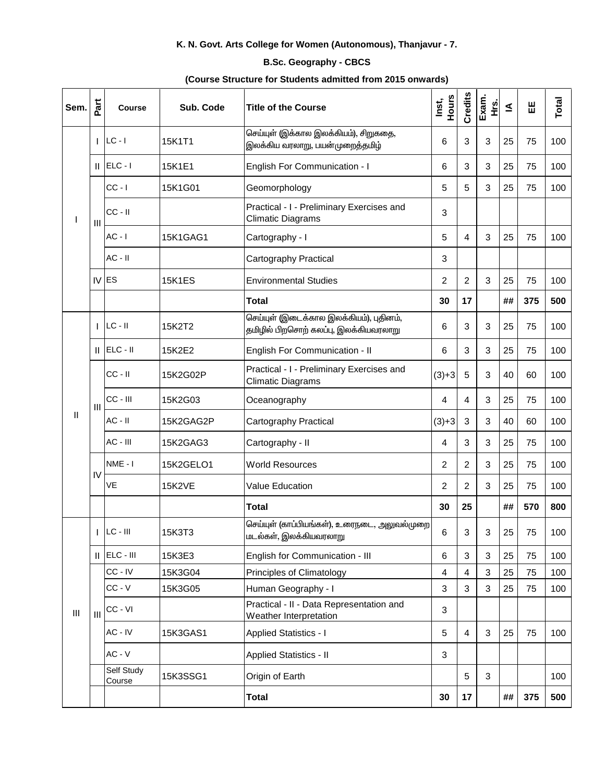## K. N. Govt. Arts College for Women (Autonomous), Thanjavur - 7.

## **B.Sc. Geography - CBCS**

## (Course Structure for Students admitted from 2015 onwards)

| Sem.                               | Part | <b>Course</b>        | Sub. Code     | Title of the Course                                                              | Hours<br>Inst,          | Credits        | Exam.<br>Hrs. | ≤  | 出   | Total |
|------------------------------------|------|----------------------|---------------|----------------------------------------------------------------------------------|-------------------------|----------------|---------------|----|-----|-------|
|                                    | L    | $LC - I$             | 15K1T1        | செய்யுள் (இக்கால இலக்கியம்), சிறுகதை,<br>இலக்கிய வரலாறு, பயன்முறைத்தமிழ்         | 6                       | 3              | 3             | 25 | 75  | 100   |
|                                    |      | $  $ ELC - $ $       | 15K1E1        | English For Communication - I                                                    | 6                       | 3              | 3             | 25 | 75  | 100   |
|                                    | Ш    | $CC - I$             | 15K1G01       | Geomorphology                                                                    | 5                       | 5              | 3             | 25 | 75  | 100   |
|                                    |      | $CC - II$            |               | Practical - I - Preliminary Exercises and<br><b>Climatic Diagrams</b>            | 3                       |                |               |    |     |       |
|                                    |      | $AC - I$             | 15K1GAG1      | Cartography - I                                                                  | 5                       | 4              | 3             | 25 | 75  | 100   |
|                                    |      | $AC - II$            |               | Cartography Practical                                                            | 3                       |                |               |    |     |       |
|                                    |      | $IV$ ES              | <b>15K1ES</b> | <b>Environmental Studies</b>                                                     | $\overline{2}$          | $\overline{2}$ | 3             | 25 | 75  | 100   |
|                                    |      |                      |               | <b>Total</b>                                                                     | 30                      | 17             |               | ## | 375 | 500   |
| Ш                                  |      | $LC - II$            | 15K2T2        | செய்யுள் (இடைக்கால இலக்கியம்), புதினம்,<br>தமிழில் பிறசொற் கலப்பு, இலக்கியவரலாறு | $\,6$                   | 3              | 3             | 25 | 75  | 100   |
|                                    | Ш.   | $ELC - II$           | 15K2E2        | English For Communication - II                                                   | $\,6$                   | 3              | 3             | 25 | 75  | 100   |
|                                    | Ш    | $CC - II$            | 15K2G02P      | Practical - I - Preliminary Exercises and<br><b>Climatic Diagrams</b>            | $(3)+3$                 | 5              | 3             | 40 | 60  | 100   |
|                                    |      | CC - III             | 15K2G03       | Oceanography                                                                     | 4                       | 4              | 3             | 25 | 75  | 100   |
|                                    |      | $AC - II$            | 15K2GAG2P     | Cartography Practical                                                            | $(3)+3$                 | $\sqrt{3}$     | 3             | 40 | 60  | 100   |
|                                    |      | AC - III             | 15K2GAG3      | Cartography - II                                                                 | 4                       | 3              | 3             | 25 | 75  | 100   |
|                                    | IV   | NME - I              | 15K2GELO1     | <b>World Resources</b>                                                           | $\overline{2}$          | $\overline{2}$ | 3             | 25 | 75  | 100   |
|                                    |      | VE                   | <b>15K2VE</b> | <b>Value Education</b>                                                           | 2                       | 2              | 3             | 25 | 75  | 100   |
|                                    |      |                      |               | <b>Total</b>                                                                     | 30                      | 25             |               | ## | 570 | 800   |
| $\ensuremath{\mathsf{III}}\xspace$ |      | $LC - III$           | 15K3T3        | செய்யுள் (காப்பியங்கள்), உரைநடை, அலுவல்முறை<br>மடல்கள், இலக்கியவரலாறு            | 6                       | 3              | 3             | 25 | 75  | 100   |
|                                    |      | $  $ ELC - $  $      | 15K3E3        | English for Communication - III                                                  | $\,6$                   | 3              | 3             | 25 | 75  | 100   |
|                                    | III  | CC-IV                | 15K3G04       | Principles of Climatology                                                        | $\overline{\mathbf{4}}$ | 4              | 3             | 25 | 75  | 100   |
|                                    |      | $CC - V$             | 15K3G05       | Human Geography - I                                                              | 3                       | 3              | 3             | 25 | 75  | 100   |
|                                    |      | CC - VI              |               | Practical - II - Data Representation and<br>Weather Interpretation               | 3                       |                |               |    |     |       |
|                                    |      | $AC - IV$            | 15K3GAS1      | <b>Applied Statistics - I</b>                                                    | 5                       | 4              | 3             | 25 | 75  | 100   |
|                                    |      | $AC - V$             |               | <b>Applied Statistics - II</b>                                                   | 3                       |                |               |    |     |       |
|                                    |      | Self Study<br>Course | 15K3SSG1      | Origin of Earth                                                                  |                         | 5              | 3             |    |     | 100   |
|                                    |      |                      |               | <b>Total</b>                                                                     | 30                      | 17             |               | ## | 375 | 500   |